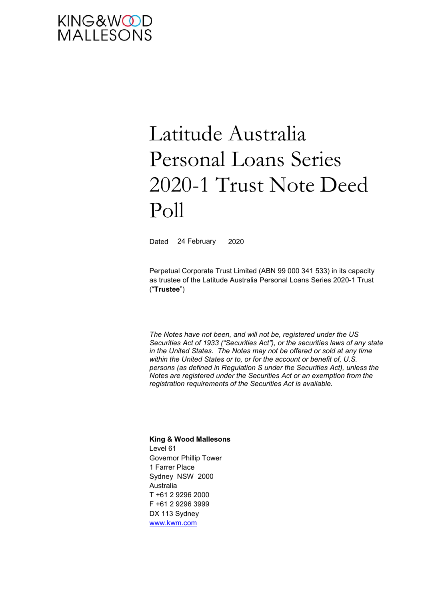# KING&WOOD<br>MALLESONS

# Latitude Australia Personal Loans Series 2020-1 Trust Note Deed Poll

Dated 24 February 2020

Perpetual Corporate Trust Limited (ABN 99 000 341 533) in its capacity as trustee of the Latitude Australia Personal Loans Series 2020-1 Trust ("**Trustee**")

*The Notes have not been, and will not be, registered under the US Securities Act of 1933 ("Securities Act"), or the securities laws of any state in the United States. The Notes may not be offered or sold at any time within the United States or to, or for the account or benefit of, U.S. persons (as defined in Regulation S under the Securities Act), unless the Notes are registered under the Securities Act or an exemption from the registration requirements of the Securities Act is available.* 

**King & Wood Mallesons**  Level 61 Governor Phillip Tower 1 Farrer Place Sydney NSW 2000 Australia T +61 2 9296 2000 F +61 2 9296 3999 DX 113 Sydney www.kwm.com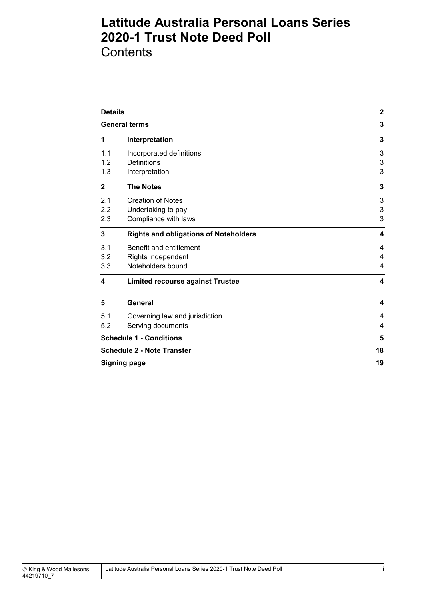**Contents** 

| <b>Details</b>                    | $\mathbf{2}$                                 |                           |
|-----------------------------------|----------------------------------------------|---------------------------|
| <b>General terms</b>              | 3                                            |                           |
| 1                                 | Interpretation                               | 3                         |
| 1.1                               | Incorporated definitions                     | $\ensuremath{\mathsf{3}}$ |
| 1.2                               | <b>Definitions</b>                           | $\ensuremath{\mathsf{3}}$ |
| 1.3                               | Interpretation                               | 3                         |
| $\mathbf{2}$                      | <b>The Notes</b>                             | 3                         |
| 2.1                               | <b>Creation of Notes</b>                     | 3                         |
| 2.2                               | Undertaking to pay                           | $\ensuremath{\mathsf{3}}$ |
| 2.3                               | Compliance with laws                         | 3                         |
| 3                                 | <b>Rights and obligations of Noteholders</b> | 4                         |
| 3.1                               | Benefit and entitlement                      | 4                         |
| 3.2                               | Rights independent                           | 4                         |
| 3.3                               | Noteholders bound                            | 4                         |
| 4                                 | <b>Limited recourse against Trustee</b>      | $\overline{\mathbf{4}}$   |
| 5                                 | <b>General</b>                               | 4                         |
| 5.1                               | Governing law and jurisdiction               | 4                         |
| 5.2                               | Serving documents                            | $\overline{4}$            |
| <b>Schedule 1 - Conditions</b>    | 5                                            |                           |
| <b>Schedule 2 - Note Transfer</b> | 18                                           |                           |
| <b>Signing page</b>               | 19                                           |                           |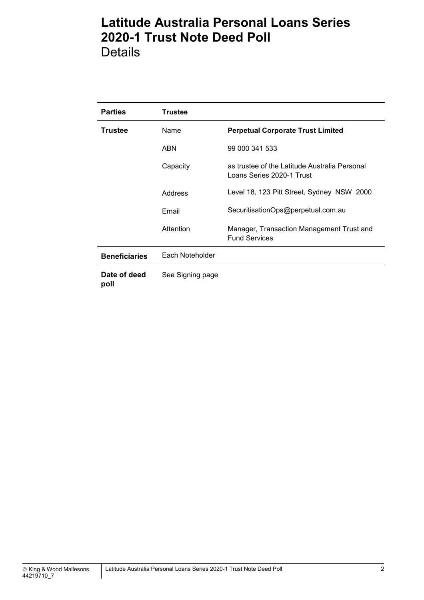Details

| <b>Parties</b>       | <b>Trustee</b>   |                                                                            |
|----------------------|------------------|----------------------------------------------------------------------------|
| Trustee              | Name             | <b>Perpetual Corporate Trust Limited</b>                                   |
|                      | <b>ABN</b>       | 99 000 341 533                                                             |
|                      | Capacity         | as trustee of the Latitude Australia Personal<br>Loans Series 2020-1 Trust |
|                      | Address          | Level 18, 123 Pitt Street, Sydney NSW 2000                                 |
|                      | Email            | SecuritisationOps@perpetual.com.au                                         |
|                      | Attention        | Manager, Transaction Management Trust and<br><b>Fund Services</b>          |
| <b>Beneficiaries</b> | Each Noteholder  |                                                                            |
| Date of deed<br>poll | See Signing page |                                                                            |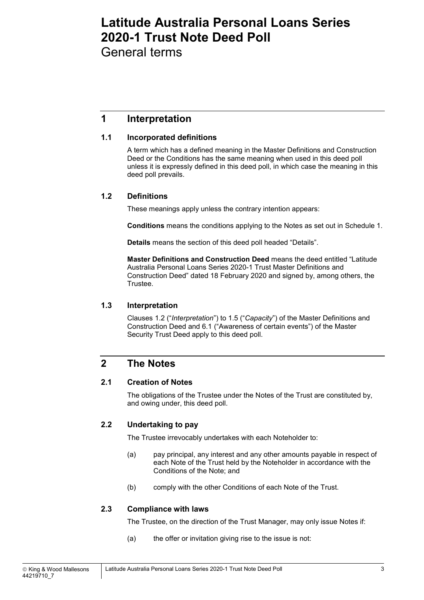General terms

## **1 Interpretation**

#### **1.1 Incorporated definitions**

A term which has a defined meaning in the Master Definitions and Construction Deed or the Conditions has the same meaning when used in this deed poll unless it is expressly defined in this deed poll, in which case the meaning in this deed poll prevails.

#### **1.2 Definitions**

These meanings apply unless the contrary intention appears:

**Conditions** means the conditions applying to the Notes as set out in Schedule 1.

**Details** means the section of this deed poll headed "Details".

**Master Definitions and Construction Deed** means the deed entitled "Latitude Australia Personal Loans Series 2020-1 Trust Master Definitions and Construction Deed" dated 18 February 2020 and signed by, among others, the Trustee.

#### **1.3 Interpretation**

Clauses 1.2 ("*Interpretation*") to 1.5 ("*Capacity*") of the Master Definitions and Construction Deed and 6.1 ("Awareness of certain events") of the Master Security Trust Deed apply to this deed poll.

## **2 The Notes**

#### **2.1 Creation of Notes**

The obligations of the Trustee under the Notes of the Trust are constituted by, and owing under, this deed poll.

#### **2.2 Undertaking to pay**

The Trustee irrevocably undertakes with each Noteholder to:

- (a) pay principal, any interest and any other amounts payable in respect of each Note of the Trust held by the Noteholder in accordance with the Conditions of the Note; and
- (b) comply with the other Conditions of each Note of the Trust.

#### **2.3 Compliance with laws**

The Trustee, on the direction of the Trust Manager, may only issue Notes if:

(a) the offer or invitation giving rise to the issue is not: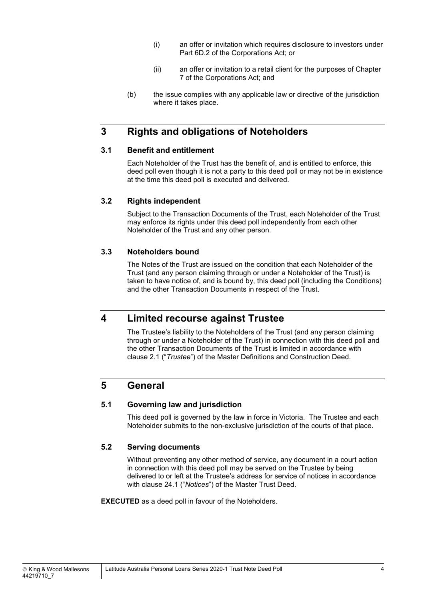- (i) an offer or invitation which requires disclosure to investors under Part 6D.2 of the Corporations Act; or
- (ii) an offer or invitation to a retail client for the purposes of Chapter 7 of the Corporations Act; and
- (b) the issue complies with any applicable law or directive of the jurisdiction where it takes place.

## **3 Rights and obligations of Noteholders**

#### **3.1 Benefit and entitlement**

Each Noteholder of the Trust has the benefit of, and is entitled to enforce, this deed poll even though it is not a party to this deed poll or may not be in existence at the time this deed poll is executed and delivered.

#### **3.2 Rights independent**

Subject to the Transaction Documents of the Trust, each Noteholder of the Trust may enforce its rights under this deed poll independently from each other Noteholder of the Trust and any other person.

#### **3.3 Noteholders bound**

The Notes of the Trust are issued on the condition that each Noteholder of the Trust (and any person claiming through or under a Noteholder of the Trust) is taken to have notice of, and is bound by, this deed poll (including the Conditions) and the other Transaction Documents in respect of the Trust.

## **4 Limited recourse against Trustee**

The Trustee's liability to the Noteholders of the Trust (and any person claiming through or under a Noteholder of the Trust) in connection with this deed poll and the other Transaction Documents of the Trust is limited in accordance with clause 2.1 ("*Trustee*") of the Master Definitions and Construction Deed.

## **5 General**

#### **5.1 Governing law and jurisdiction**

This deed poll is governed by the law in force in Victoria. The Trustee and each Noteholder submits to the non-exclusive jurisdiction of the courts of that place.

#### **5.2 Serving documents**

Without preventing any other method of service, any document in a court action in connection with this deed poll may be served on the Trustee by being delivered to or left at the Trustee's address for service of notices in accordance with clause 24.1 ("*Notices*") of the Master Trust Deed.

**EXECUTED** as a deed poll in favour of the Noteholders.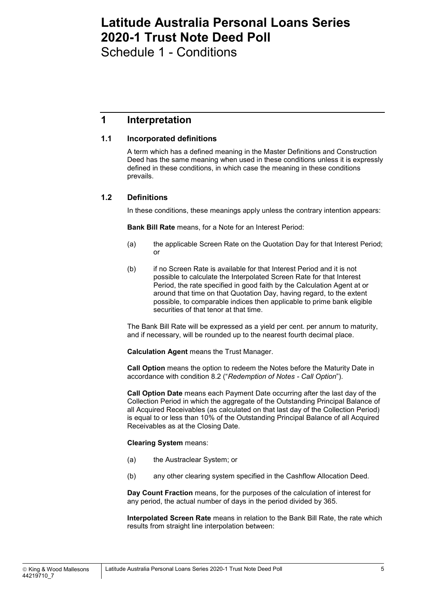Schedule 1 - Conditions

## **1 Interpretation**

#### **1.1 Incorporated definitions**

A term which has a defined meaning in the Master Definitions and Construction Deed has the same meaning when used in these conditions unless it is expressly defined in these conditions, in which case the meaning in these conditions prevails.

#### **1.2 Definitions**

In these conditions, these meanings apply unless the contrary intention appears:

**Bank Bill Rate** means, for a Note for an Interest Period:

- (a) the applicable Screen Rate on the Quotation Day for that Interest Period; or
- (b) if no Screen Rate is available for that Interest Period and it is not possible to calculate the Interpolated Screen Rate for that Interest Period, the rate specified in good faith by the Calculation Agent at or around that time on that Quotation Day, having regard, to the extent possible, to comparable indices then applicable to prime bank eligible securities of that tenor at that time.

The Bank Bill Rate will be expressed as a yield per cent. per annum to maturity, and if necessary, will be rounded up to the nearest fourth decimal place.

**Calculation Agent** means the Trust Manager.

**Call Option** means the option to redeem the Notes before the Maturity Date in accordance with condition 8.2 ("*Redemption of Notes - Call Option*").

**Call Option Date** means each Payment Date occurring after the last day of the Collection Period in which the aggregate of the Outstanding Principal Balance of all Acquired Receivables (as calculated on that last day of the Collection Period) is equal to or less than 10% of the Outstanding Principal Balance of all Acquired Receivables as at the Closing Date.

#### **Clearing System** means:

- (a) the Austraclear System; or
- (b) any other clearing system specified in the Cashflow Allocation Deed.

**Day Count Fraction** means, for the purposes of the calculation of interest for any period, the actual number of days in the period divided by 365.

**Interpolated Screen Rate** means in relation to the Bank Bill Rate, the rate which results from straight line interpolation between: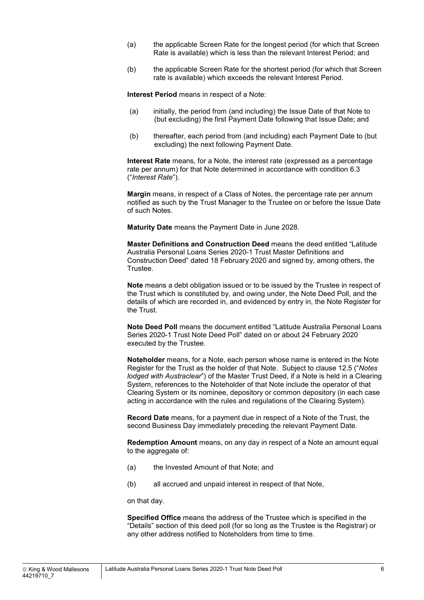- (a) the applicable Screen Rate for the longest period (for which that Screen Rate is available) which is less than the relevant Interest Period; and
- (b) the applicable Screen Rate for the shortest period (for which that Screen rate is available) which exceeds the relevant Interest Period.

**Interest Period** means in respect of a Note:

- (a) initially, the period from (and including) the Issue Date of that Note to (but excluding) the first Payment Date following that Issue Date; and
- (b) thereafter, each period from (and including) each Payment Date to (but excluding) the next following Payment Date.

**Interest Rate** means, for a Note, the interest rate (expressed as a percentage rate per annum) for that Note determined in accordance with condition 6.3 ("*Interest Rate*").

**Margin** means, in respect of a Class of Notes, the percentage rate per annum notified as such by the Trust Manager to the Trustee on or before the Issue Date of such Notes.

**Maturity Date** means the Payment Date in June 2028.

**Master Definitions and Construction Deed** means the deed entitled "Latitude Australia Personal Loans Series 2020-1 Trust Master Definitions and Construction Deed" dated 18 February 2020 and signed by, among others, the Trustee.

**Note** means a debt obligation issued or to be issued by the Trustee in respect of the Trust which is constituted by, and owing under, the Note Deed Poll, and the details of which are recorded in, and evidenced by entry in, the Note Register for the Trust.

**Note Deed Poll** means the document entitled "Latitude Australia Personal Loans Series 2020-1 Trust Note Deed Poll" dated on or about 24 February 2020 executed by the Trustee.

**Noteholder** means, for a Note, each person whose name is entered in the Note Register for the Trust as the holder of that Note. Subject to clause 12.5 ("*Notes lodged with Austraclear*") of the Master Trust Deed, if a Note is held in a Clearing System, references to the Noteholder of that Note include the operator of that Clearing System or its nominee, depository or common depository (in each case acting in accordance with the rules and regulations of the Clearing System).

**Record Date** means, for a payment due in respect of a Note of the Trust, the second Business Day immediately preceding the relevant Payment Date.

**Redemption Amount** means, on any day in respect of a Note an amount equal to the aggregate of:

- (a) the Invested Amount of that Note; and
- (b) all accrued and unpaid interest in respect of that Note,

on that day.

**Specified Office** means the address of the Trustee which is specified in the "Details" section of this deed poll (for so long as the Trustee is the Registrar) or any other address notified to Noteholders from time to time.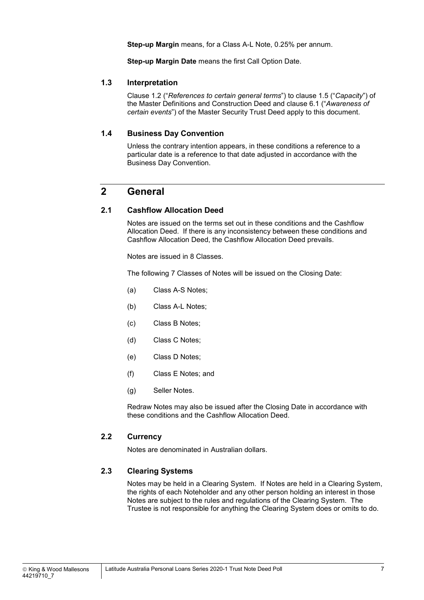**Step-up Margin** means, for a Class A-L Note, 0.25% per annum.

**Step-up Margin Date** means the first Call Option Date.

#### **1.3 Interpretation**

Clause 1.2 ("*References to certain general terms*") to clause 1.5 ("*Capacity*") of the Master Definitions and Construction Deed and clause 6.1 ("*Awareness of certain events*") of the Master Security Trust Deed apply to this document.

#### **1.4 Business Day Convention**

Unless the contrary intention appears, in these conditions a reference to a particular date is a reference to that date adjusted in accordance with the Business Day Convention.

### **2 General**

#### **2.1 Cashflow Allocation Deed**

Notes are issued on the terms set out in these conditions and the Cashflow Allocation Deed. If there is any inconsistency between these conditions and Cashflow Allocation Deed, the Cashflow Allocation Deed prevails.

Notes are issued in 8 Classes.

The following 7 Classes of Notes will be issued on the Closing Date:

- (a) Class A-S Notes;
- (b) Class A-L Notes;
- (c) Class B Notes;
- (d) Class C Notes;
- (e) Class D Notes;
- (f) Class E Notes; and
- (g) Seller Notes.

Redraw Notes may also be issued after the Closing Date in accordance with these conditions and the Cashflow Allocation Deed.

#### **2.2 Currency**

Notes are denominated in Australian dollars.

#### **2.3 Clearing Systems**

Notes may be held in a Clearing System. If Notes are held in a Clearing System, the rights of each Noteholder and any other person holding an interest in those Notes are subject to the rules and regulations of the Clearing System. The Trustee is not responsible for anything the Clearing System does or omits to do.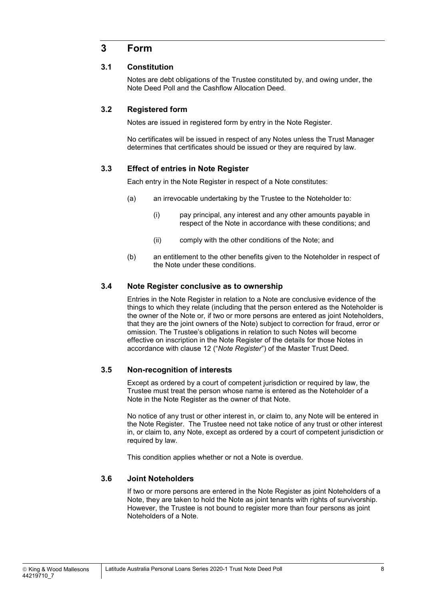## **3 Form**

#### **3.1 Constitution**

Notes are debt obligations of the Trustee constituted by, and owing under, the Note Deed Poll and the Cashflow Allocation Deed.

#### **3.2 Registered form**

Notes are issued in registered form by entry in the Note Register.

No certificates will be issued in respect of any Notes unless the Trust Manager determines that certificates should be issued or they are required by law.

#### **3.3 Effect of entries in Note Register**

Each entry in the Note Register in respect of a Note constitutes:

- (a) an irrevocable undertaking by the Trustee to the Noteholder to:
	- (i) pay principal, any interest and any other amounts payable in respect of the Note in accordance with these conditions; and
	- (ii) comply with the other conditions of the Note; and
- (b) an entitlement to the other benefits given to the Noteholder in respect of the Note under these conditions.

#### **3.4 Note Register conclusive as to ownership**

Entries in the Note Register in relation to a Note are conclusive evidence of the things to which they relate (including that the person entered as the Noteholder is the owner of the Note or, if two or more persons are entered as joint Noteholders, that they are the joint owners of the Note) subject to correction for fraud, error or omission. The Trustee's obligations in relation to such Notes will become effective on inscription in the Note Register of the details for those Notes in accordance with clause 12 ("*Note Register*") of the Master Trust Deed.

#### **3.5 Non-recognition of interests**

Except as ordered by a court of competent jurisdiction or required by law, the Trustee must treat the person whose name is entered as the Noteholder of a Note in the Note Register as the owner of that Note.

No notice of any trust or other interest in, or claim to, any Note will be entered in the Note Register. The Trustee need not take notice of any trust or other interest in, or claim to, any Note, except as ordered by a court of competent jurisdiction or required by law.

This condition applies whether or not a Note is overdue.

#### **3.6 Joint Noteholders**

If two or more persons are entered in the Note Register as joint Noteholders of a Note, they are taken to hold the Note as joint tenants with rights of survivorship. However, the Trustee is not bound to register more than four persons as joint Noteholders of a Note.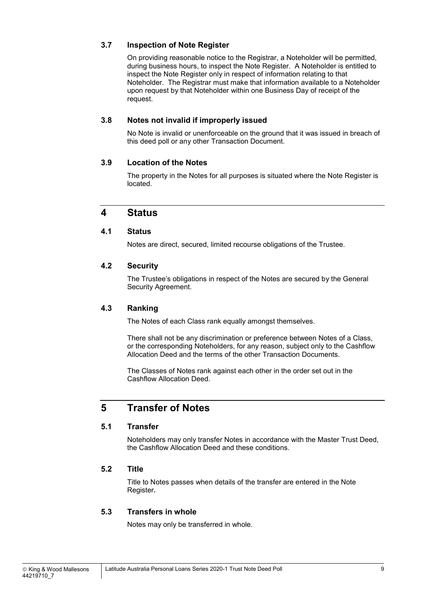#### **3.7 Inspection of Note Register**

On providing reasonable notice to the Registrar, a Noteholder will be permitted, during business hours, to inspect the Note Register. A Noteholder is entitled to inspect the Note Register only in respect of information relating to that Noteholder. The Registrar must make that information available to a Noteholder upon request by that Noteholder within one Business Day of receipt of the request.

#### **3.8 Notes not invalid if improperly issued**

No Note is invalid or unenforceable on the ground that it was issued in breach of this deed poll or any other Transaction Document.

#### **3.9 Location of the Notes**

The property in the Notes for all purposes is situated where the Note Register is located.

#### **4 Status**

#### **4.1 Status**

Notes are direct, secured, limited recourse obligations of the Trustee.

#### **4.2 Security**

The Trustee's obligations in respect of the Notes are secured by the General Security Agreement.

#### **4.3 Ranking**

The Notes of each Class rank equally amongst themselves.

There shall not be any discrimination or preference between Notes of a Class, or the corresponding Noteholders, for any reason, subject only to the Cashflow Allocation Deed and the terms of the other Transaction Documents.

The Classes of Notes rank against each other in the order set out in the Cashflow Allocation Deed.

## **5 Transfer of Notes**

#### **5.1 Transfer**

Noteholders may only transfer Notes in accordance with the Master Trust Deed, the Cashflow Allocation Deed and these conditions.

#### **5.2 Title**

Title to Notes passes when details of the transfer are entered in the Note Register**.**

#### **5.3 Transfers in whole**

Notes may only be transferred in whole.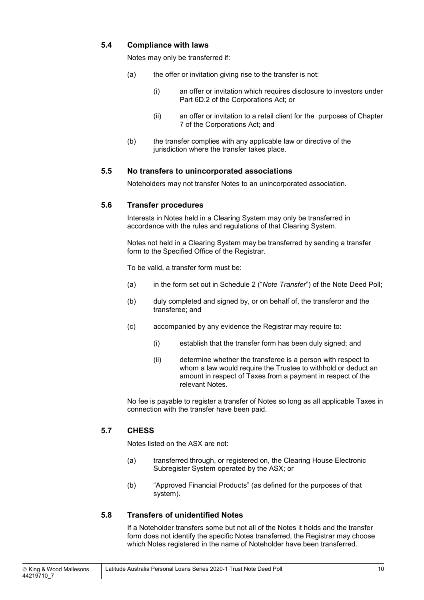#### **5.4 Compliance with laws**

Notes may only be transferred if:

- (a) the offer or invitation giving rise to the transfer is not:
	- (i) an offer or invitation which requires disclosure to investors under Part 6D.2 of the Corporations Act; or
	- (ii) an offer or invitation to a retail client for the purposes of Chapter 7 of the Corporations Act; and
- (b) the transfer complies with any applicable law or directive of the jurisdiction where the transfer takes place.

#### **5.5 No transfers to unincorporated associations**

Noteholders may not transfer Notes to an unincorporated association.

#### **5.6 Transfer procedures**

Interests in Notes held in a Clearing System may only be transferred in accordance with the rules and regulations of that Clearing System.

Notes not held in a Clearing System may be transferred by sending a transfer form to the Specified Office of the Registrar.

To be valid, a transfer form must be:

- (a) in the form set out in Schedule 2 ("*Note Transfer*") of the Note Deed Poll;
- (b) duly completed and signed by, or on behalf of, the transferor and the transferee; and
- (c) accompanied by any evidence the Registrar may require to:
	- (i) establish that the transfer form has been duly signed; and
	- (ii) determine whether the transferee is a person with respect to whom a law would require the Trustee to withhold or deduct an amount in respect of Taxes from a payment in respect of the relevant Notes.

No fee is payable to register a transfer of Notes so long as all applicable Taxes in connection with the transfer have been paid.

#### **5.7 CHESS**

Notes listed on the ASX are not:

- (a) transferred through, or registered on, the Clearing House Electronic Subregister System operated by the ASX; or
- (b) "Approved Financial Products" (as defined for the purposes of that system).

#### **5.8 Transfers of unidentified Notes**

If a Noteholder transfers some but not all of the Notes it holds and the transfer form does not identify the specific Notes transferred, the Registrar may choose which Notes registered in the name of Noteholder have been transferred.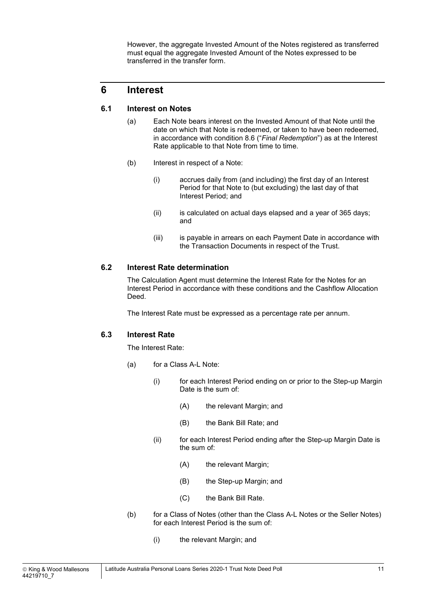However, the aggregate Invested Amount of the Notes registered as transferred must equal the aggregate Invested Amount of the Notes expressed to be transferred in the transfer form.

## **6 Interest**

#### **6.1 Interest on Notes**

- (a) Each Note bears interest on the Invested Amount of that Note until the date on which that Note is redeemed, or taken to have been redeemed, in accordance with condition 8.6 ("*Final Redemption*") as at the Interest Rate applicable to that Note from time to time.
- (b) Interest in respect of a Note:
	- (i) accrues daily from (and including) the first day of an Interest Period for that Note to (but excluding) the last day of that Interest Period; and
	- (ii) is calculated on actual days elapsed and a year of 365 days; and
	- (iii) is payable in arrears on each Payment Date in accordance with the Transaction Documents in respect of the Trust.

#### **6.2 Interest Rate determination**

The Calculation Agent must determine the Interest Rate for the Notes for an Interest Period in accordance with these conditions and the Cashflow Allocation Deed.

The Interest Rate must be expressed as a percentage rate per annum.

#### **6.3 Interest Rate**

The Interest Rate:

- (a) for a Class A-L Note:
	- (i) for each Interest Period ending on or prior to the Step-up Margin Date is the sum of:
		- (A) the relevant Margin; and
		- (B) the Bank Bill Rate; and
	- (ii) for each Interest Period ending after the Step-up Margin Date is the sum of:
		- (A) the relevant Margin;
		- (B) the Step-up Margin; and
		- (C) the Bank Bill Rate.
- (b) for a Class of Notes (other than the Class A-L Notes or the Seller Notes) for each Interest Period is the sum of:
	- (i) the relevant Margin; and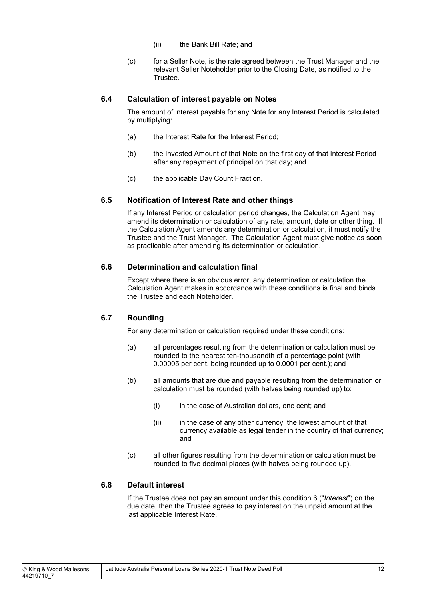- (ii) the Bank Bill Rate; and
- (c) for a Seller Note, is the rate agreed between the Trust Manager and the relevant Seller Noteholder prior to the Closing Date, as notified to the Trustee.

#### **6.4 Calculation of interest payable on Notes**

The amount of interest payable for any Note for any Interest Period is calculated by multiplying:

- (a) the Interest Rate for the Interest Period;
- (b) the Invested Amount of that Note on the first day of that Interest Period after any repayment of principal on that day; and
- (c) the applicable Day Count Fraction.

#### **6.5 Notification of Interest Rate and other things**

If any Interest Period or calculation period changes, the Calculation Agent may amend its determination or calculation of any rate, amount, date or other thing. If the Calculation Agent amends any determination or calculation, it must notify the Trustee and the Trust Manager. The Calculation Agent must give notice as soon as practicable after amending its determination or calculation.

#### **6.6 Determination and calculation final**

Except where there is an obvious error, any determination or calculation the Calculation Agent makes in accordance with these conditions is final and binds the Trustee and each Noteholder.

#### **6.7 Rounding**

For any determination or calculation required under these conditions:

- (a) all percentages resulting from the determination or calculation must be rounded to the nearest ten-thousandth of a percentage point (with 0.00005 per cent. being rounded up to 0.0001 per cent.); and
- (b) all amounts that are due and payable resulting from the determination or calculation must be rounded (with halves being rounded up) to:
	- (i) in the case of Australian dollars, one cent; and
	- $(ii)$  in the case of any other currency, the lowest amount of that currency available as legal tender in the country of that currency; and
- (c) all other figures resulting from the determination or calculation must be rounded to five decimal places (with halves being rounded up).

#### **6.8 Default interest**

If the Trustee does not pay an amount under this condition 6 ("*Interest*") on the due date, then the Trustee agrees to pay interest on the unpaid amount at the last applicable Interest Rate.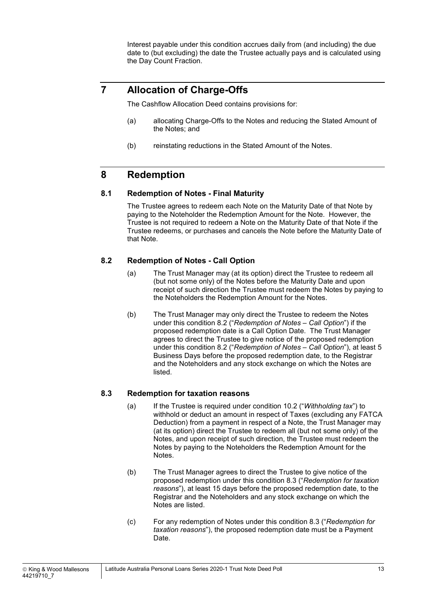Interest payable under this condition accrues daily from (and including) the due date to (but excluding) the date the Trustee actually pays and is calculated using the Day Count Fraction.

## **7 Allocation of Charge-Offs**

The Cashflow Allocation Deed contains provisions for:

- (a) allocating Charge-Offs to the Notes and reducing the Stated Amount of the Notes; and
- (b) reinstating reductions in the Stated Amount of the Notes.

## **8 Redemption**

#### **8.1 Redemption of Notes - Final Maturity**

The Trustee agrees to redeem each Note on the Maturity Date of that Note by paying to the Noteholder the Redemption Amount for the Note. However, the Trustee is not required to redeem a Note on the Maturity Date of that Note if the Trustee redeems, or purchases and cancels the Note before the Maturity Date of that Note.

#### **8.2 Redemption of Notes - Call Option**

- (a) The Trust Manager may (at its option) direct the Trustee to redeem all (but not some only) of the Notes before the Maturity Date and upon receipt of such direction the Trustee must redeem the Notes by paying to the Noteholders the Redemption Amount for the Notes.
- (b) The Trust Manager may only direct the Trustee to redeem the Notes under this condition 8.2 ("*Redemption of Notes – Call Option*") if the proposed redemption date is a Call Option Date. The Trust Manager agrees to direct the Trustee to give notice of the proposed redemption under this condition 8.2 ("*Redemption of Notes – Call Option*"), at least 5 Business Days before the proposed redemption date, to the Registrar and the Noteholders and any stock exchange on which the Notes are listed.

#### **8.3 Redemption for taxation reasons**

- (a) If the Trustee is required under condition 10.2 ("*Withholding tax*") to withhold or deduct an amount in respect of Taxes (excluding any FATCA Deduction) from a payment in respect of a Note, the Trust Manager may (at its option) direct the Trustee to redeem all (but not some only) of the Notes, and upon receipt of such direction, the Trustee must redeem the Notes by paying to the Noteholders the Redemption Amount for the Notes.
- (b) The Trust Manager agrees to direct the Trustee to give notice of the proposed redemption under this condition 8.3 ("*Redemption for taxation reasons*"), at least 15 days before the proposed redemption date, to the Registrar and the Noteholders and any stock exchange on which the Notes are listed.
- (c) For any redemption of Notes under this condition 8.3 ("*Redemption for taxation reasons*"), the proposed redemption date must be a Payment Date.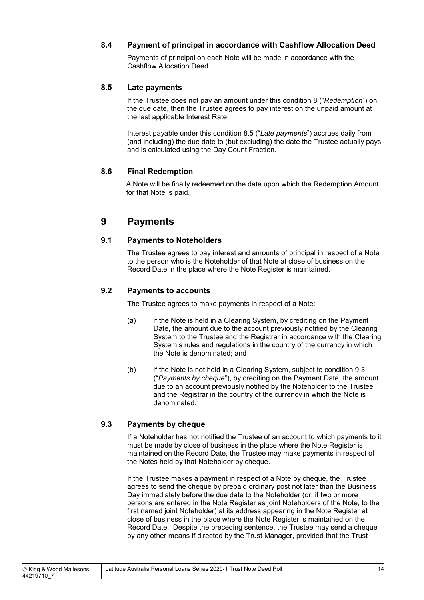#### **8.4 Payment of principal in accordance with Cashflow Allocation Deed**

Payments of principal on each Note will be made in accordance with the Cashflow Allocation Deed.

#### **8.5 Late payments**

If the Trustee does not pay an amount under this condition 8 ("*Redemption*") on the due date, then the Trustee agrees to pay interest on the unpaid amount at the last applicable Interest Rate.

Interest payable under this condition 8.5 ("*Late payments*") accrues daily from (and including) the due date to (but excluding) the date the Trustee actually pays and is calculated using the Day Count Fraction.

#### **8.6 Final Redemption**

A Note will be finally redeemed on the date upon which the Redemption Amount for that Note is paid.

#### **9 Payments**

#### **9.1 Payments to Noteholders**

The Trustee agrees to pay interest and amounts of principal in respect of a Note to the person who is the Noteholder of that Note at close of business on the Record Date in the place where the Note Register is maintained.

#### **9.2 Payments to accounts**

The Trustee agrees to make payments in respect of a Note:

- (a) if the Note is held in a Clearing System, by crediting on the Payment Date, the amount due to the account previously notified by the Clearing System to the Trustee and the Registrar in accordance with the Clearing System's rules and regulations in the country of the currency in which the Note is denominated; and
- (b) if the Note is not held in a Clearing System, subject to condition 9.3 ("*Payments by cheque*"), by crediting on the Payment Date, the amount due to an account previously notified by the Noteholder to the Trustee and the Registrar in the country of the currency in which the Note is denominated.

#### **9.3 Payments by cheque**

If a Noteholder has not notified the Trustee of an account to which payments to it must be made by close of business in the place where the Note Register is maintained on the Record Date, the Trustee may make payments in respect of the Notes held by that Noteholder by cheque.

If the Trustee makes a payment in respect of a Note by cheque, the Trustee agrees to send the cheque by prepaid ordinary post not later than the Business Day immediately before the due date to the Noteholder (or, if two or more persons are entered in the Note Register as joint Noteholders of the Note, to the first named joint Noteholder) at its address appearing in the Note Register at close of business in the place where the Note Register is maintained on the Record Date. Despite the preceding sentence, the Trustee may send a cheque by any other means if directed by the Trust Manager, provided that the Trust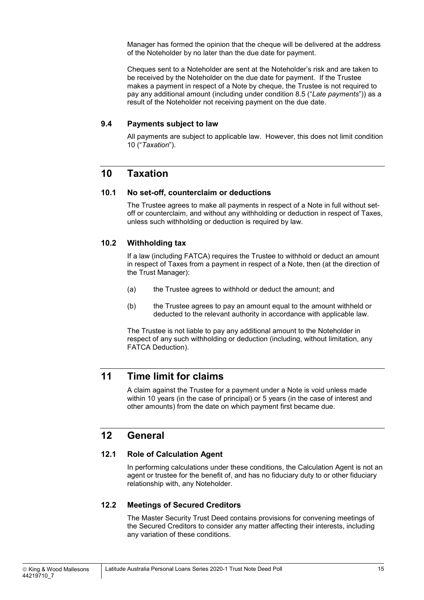Manager has formed the opinion that the cheque will be delivered at the address of the Noteholder by no later than the due date for payment.

Cheques sent to a Noteholder are sent at the Noteholder's risk and are taken to be received by the Noteholder on the due date for payment. If the Trustee makes a payment in respect of a Note by cheque, the Trustee is not required to pay any additional amount (including under condition 8.5 ("*Late payments*")) as a result of the Noteholder not receiving payment on the due date.

#### **9.4 Payments subject to law**

All payments are subject to applicable law. However, this does not limit condition 10 ("*Taxation*").

#### **10 Taxation**

#### **10.1 No set-off, counterclaim or deductions**

The Trustee agrees to make all payments in respect of a Note in full without setoff or counterclaim, and without any withholding or deduction in respect of Taxes, unless such withholding or deduction is required by law.

#### **10.2 Withholding tax**

If a law (including FATCA) requires the Trustee to withhold or deduct an amount in respect of Taxes from a payment in respect of a Note, then (at the direction of the Trust Manager):

- (a) the Trustee agrees to withhold or deduct the amount; and
- (b) the Trustee agrees to pay an amount equal to the amount withheld or deducted to the relevant authority in accordance with applicable law.

The Trustee is not liable to pay any additional amount to the Noteholder in respect of any such withholding or deduction (including, without limitation, any FATCA Deduction).

## **11 Time limit for claims**

A claim against the Trustee for a payment under a Note is void unless made within 10 years (in the case of principal) or 5 years (in the case of interest and other amounts) from the date on which payment first became due.

#### **12 General**

#### **12.1 Role of Calculation Agent**

In performing calculations under these conditions, the Calculation Agent is not an agent or trustee for the benefit of, and has no fiduciary duty to or other fiduciary relationship with, any Noteholder.

#### **12.2 Meetings of Secured Creditors**

The Master Security Trust Deed contains provisions for convening meetings of the Secured Creditors to consider any matter affecting their interests, including any variation of these conditions.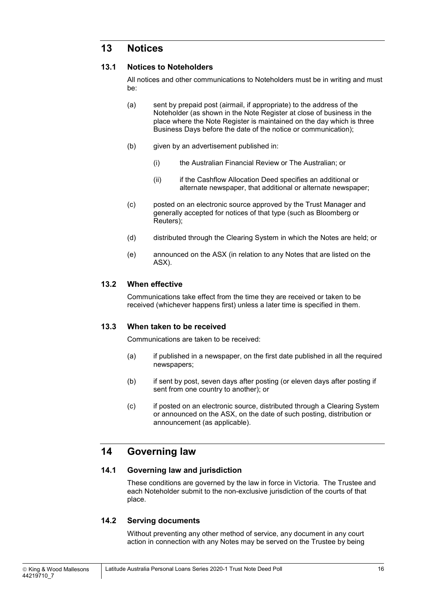## **13 Notices**

#### **13.1 Notices to Noteholders**

All notices and other communications to Noteholders must be in writing and must be:

- (a) sent by prepaid post (airmail, if appropriate) to the address of the Noteholder (as shown in the Note Register at close of business in the place where the Note Register is maintained on the day which is three Business Days before the date of the notice or communication);
- (b) given by an advertisement published in:
	- (i) the Australian Financial Review or The Australian; or
	- (ii) if the Cashflow Allocation Deed specifies an additional or alternate newspaper, that additional or alternate newspaper;
- (c) posted on an electronic source approved by the Trust Manager and generally accepted for notices of that type (such as Bloomberg or Reuters);
- (d) distributed through the Clearing System in which the Notes are held; or
- (e) announced on the ASX (in relation to any Notes that are listed on the ASX).

#### **13.2 When effective**

Communications take effect from the time they are received or taken to be received (whichever happens first) unless a later time is specified in them.

#### **13.3 When taken to be received**

Communications are taken to be received:

- (a) if published in a newspaper, on the first date published in all the required newspapers;
- (b) if sent by post, seven days after posting (or eleven days after posting if sent from one country to another); or
- (c) if posted on an electronic source, distributed through a Clearing System or announced on the ASX, on the date of such posting, distribution or announcement (as applicable).

## **14 Governing law**

#### **14.1 Governing law and jurisdiction**

These conditions are governed by the law in force in Victoria. The Trustee and each Noteholder submit to the non-exclusive jurisdiction of the courts of that place.

#### **14.2 Serving documents**

Without preventing any other method of service, any document in any court action in connection with any Notes may be served on the Trustee by being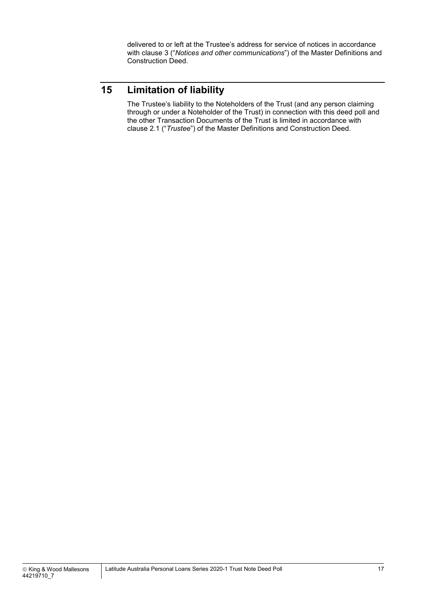delivered to or left at the Trustee's address for service of notices in accordance with clause 3 ("*Notices and other communications*") of the Master Definitions and Construction Deed.

## **15 Limitation of liability**

The Trustee's liability to the Noteholders of the Trust (and any person claiming through or under a Noteholder of the Trust) in connection with this deed poll and the other Transaction Documents of the Trust is limited in accordance with clause 2.1 ("*Trustee*") of the Master Definitions and Construction Deed.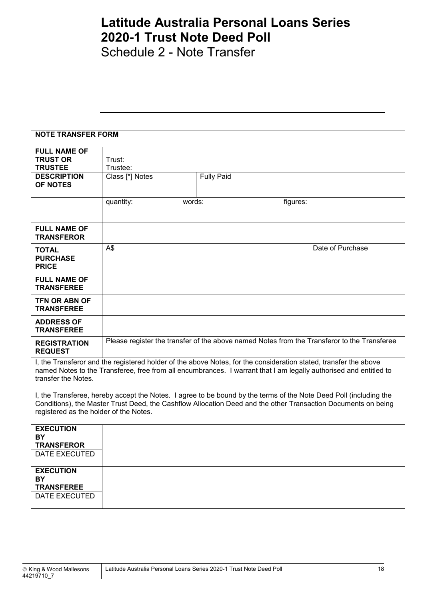Schedule 2 - Note Transfer

#### **NOTE TRANSFER FORM**

| <b>FULL NAME OF</b><br><b>TRUST OR</b><br><b>TRUSTEE</b> | Trust:<br>Trustee:  |                   |                                                                                             |
|----------------------------------------------------------|---------------------|-------------------|---------------------------------------------------------------------------------------------|
| <b>DESCRIPTION</b><br>OF NOTES                           | Class [*] Notes     | <b>Fully Paid</b> |                                                                                             |
|                                                          | quantity:<br>words: | figures:          |                                                                                             |
| <b>FULL NAME OF</b><br><b>TRANSFEROR</b>                 |                     |                   |                                                                                             |
| <b>TOTAL</b><br><b>PURCHASE</b><br><b>PRICE</b>          | A\$                 |                   | Date of Purchase                                                                            |
| <b>FULL NAME OF</b><br><b>TRANSFEREE</b>                 |                     |                   |                                                                                             |
| <b>TFN OR ABN OF</b><br><b>TRANSFEREE</b>                |                     |                   |                                                                                             |
| <b>ADDRESS OF</b><br><b>TRANSFEREE</b>                   |                     |                   |                                                                                             |
| <b>REGISTRATION</b><br><b>REQUEST</b>                    |                     |                   | Please register the transfer of the above named Notes from the Transferor to the Transferee |

I, the Transferor and the registered holder of the above Notes, for the consideration stated, transfer the above named Notes to the Transferee, free from all encumbrances. I warrant that I am legally authorised and entitled to transfer the Notes.

I, the Transferee, hereby accept the Notes. I agree to be bound by the terms of the Note Deed Poll (including the Conditions), the Master Trust Deed, the Cashflow Allocation Deed and the other Transaction Documents on being registered as the holder of the Notes.

| <b>EXECUTION</b><br>BY<br><b>TRANSFEROR</b><br>DATE EXECUTED |  |
|--------------------------------------------------------------|--|
| <b>EXECUTION</b>                                             |  |
| BY<br><b>TRANSFEREE</b>                                      |  |
| DATE EXECUTED                                                |  |